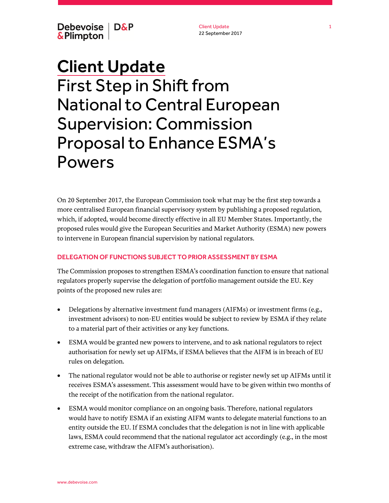Debevoise | D&P &Plimpton

Client Update 22 September 2017

## Client Update First Step in Shift from National to Central European Supervision: Commission Proposal to Enhance ESMA's Powers

On 20 September 2017, the European Commission took what may be the first step towards a more centralised European financial supervisory system by publishing a proposed regulation, which, if adopted, would become directly effective in all EU Member States. Importantly, the proposed rules would give the European Securities and Market Authority (ESMA) new powers to intervene in European financial supervision by national regulators.

## DELEGATION OF FUNCTIONS SUBJECT TO PRIOR ASSESSMENT BY ESMA

The Commission proposes to strengthen ESMA's coordination function to ensure that national regulators properly supervise the delegation of portfolio management outside the EU. Key points of the proposed new rules are:

- Delegations by alternative investment fund managers (AIFMs) or investment firms (e.g., investment advisors) to non-EU entities would be subject to review by ESMA if they relate to a material part of their activities or any key functions.
- ESMA would be granted new powers to intervene, and to ask national regulators to reject authorisation for newly set up AIFMs, if ESMA believes that the AIFM is in breach of EU rules on delegation.
- The national regulator would not be able to authorise or register newly set up AIFMs until it receives ESMA's assessment. This assessment would have to be given within two months of the receipt of the notification from the national regulator.
- ESMA would monitor compliance on an ongoing basis. Therefore, national regulators would have to notify ESMA if an existing AIFM wants to delegate material functions to an entity outside the EU. If ESMA concludes that the delegation is not in line with applicable laws, ESMA could recommend that the national regulator act accordingly (e.g., in the most extreme case, withdraw the AIFM's authorisation).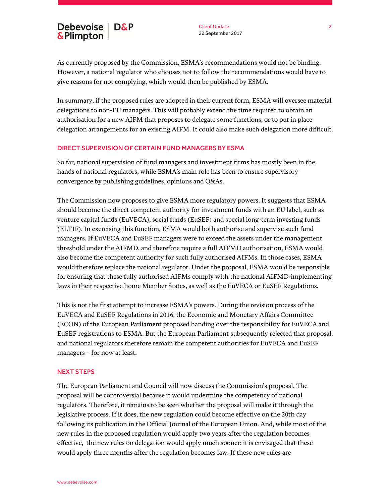As currently proposed by the Commission, ESMA's recommendations would not be binding. However, a national regulator who chooses not to follow the recommendations would have to give reasons for not complying, which would then be published by ESMA.

In summary, if the proposed rules are adopted in their current form, ESMA will oversee material delegations to non-EU managers. This will probably extend the time required to obtain an authorisation for a new AIFM that proposes to delegate some functions, or to put in place delegation arrangements for an existing AIFM. It could also make such delegation more difficult.

## DIRECT SUPERVISION OF CERTAIN FUND MANAGERS BY ESMA

So far, national supervision of fund managers and investment firms has mostly been in the hands of national regulators, while ESMA's main role has been to ensure supervisory convergence by publishing guidelines, opinions and Q&As.

The Commission now proposes to give ESMA more regulatory powers. It suggests that ESMA should become the direct competent authority for investment funds with an EU label, such as venture capital funds (EuVECA), social funds (EuSEF) and special long-term investing funds (ELTIF). In exercising this function, ESMA would both authorise and supervise such fund managers. If EuVECA and EuSEF managers were to exceed the assets under the management threshold under the AIFMD, and therefore require a full AIFMD authorisation, ESMA would also become the competent authority for such fully authorised AIFMs. In those cases, ESMA would therefore replace the national regulator. Under the proposal, ESMA would be responsible for ensuring that these fully authorised AIFMs comply with the national AIFMD-implementing laws in their respective home Member States, as well as the EuVECA or EuSEF Regulations.

This is not the first attempt to increase ESMA's powers. During the revision process of the EuVECA and EuSEF Regulations in 2016, the Economic and Monetary Affairs Committee (ECON) of the European Parliament proposed handing over the responsibility for EuVECA and EuSEF registrations to ESMA. But the European Parliament subsequently rejected that proposal, and national regulators therefore remain the competent authorities for EuVECA and EuSEF managers – for now at least.

## NEXT STEPS

The European Parliament and Council will now discuss the Commission's proposal. The proposal will be controversial because it would undermine the competency of national regulators. Therefore, it remains to be seen whether the proposal will make it through the legislative process. If it does, the new regulation could become effective on the 20th day following its publication in the Official Journal of the European Union. And, while most of the new rules in the proposed regulation would apply two years after the regulation becomes effective, the new rules on delegation would apply much sooner: it is envisaged that these would apply three months after the regulation becomes law. If these new rules are